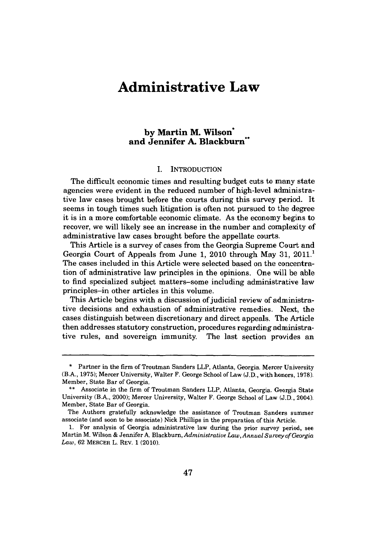# **Administrative Law**

# **by Martin M. Wilson\* and Jennifer A. Blackburn\***

### I. **INTRODUCTION**

The difficult economic times and resulting budget cuts to many state agencies were evident in the reduced number of high-level administrative law cases brought before the courts during this survey period. It seems in tough times such litigation is often not pursued to the degree it is in a more comfortable economic climate. As the economy begins to recover, we will likely see an increase in the number and complexity of administrative law cases brought before the appellate courts.

This Article is a survey of cases from the Georgia Supreme Court and Georgia Court of Appeals from June 1, 2010 through May 31, 2011.<sup>1</sup> The cases included in this Article were selected based on the concentration of administrative law principles in the opinions. One will be able to find specialized subject matters-some including administrative law principles-in other articles in this volume.

This Article begins with a discussion of judicial review of administrative decisions and exhaustion of administrative remedies. Next, the cases distinguish between discretionary and direct appeals. The Article then addresses statutory construction, procedures regarding administrative rules, and sovereign immunity. The last section provides an

**<sup>\*</sup>** Partner in the firm of Troutman Sanders LLP, Atlanta, Georgia. Mercer University (B.A., **1975);** Mercer University, Walter F. George School of Law **(J.D.,** with honors, **1978).** Member, State Bar of Georgia.

**<sup>\*\*</sup>** Associate in the firm of Troutman Sanders LLP, Atlanta, Georgia. Georgia State University (B.A., 2000); Mercer University, Walter F. George School of Law **(J.D.,** 2004). Member, State Bar of Georgia.

The Authors gratefully acknowledge the assistance of Troutman Sanders summer associate (and soon to be associate) Nick Phillips in the preparation of this Article.

**<sup>1.</sup>** For analysis of Georgia administrative law during the prior survey period, see Martin M. Wilson **&** Jennifer **A.** *Blackburn, Administrative Law,Annual Surveyof Georgia Law,* **62** MERCER L. REV. **1** (2010).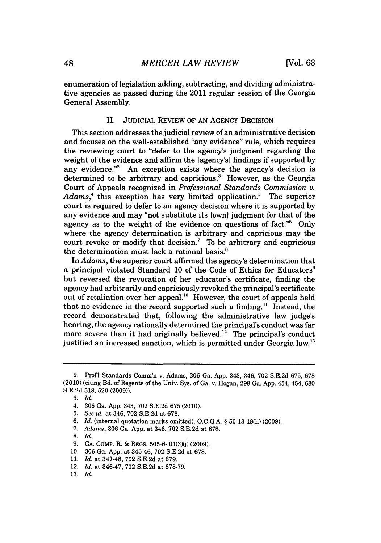enumeration of legislation adding, subtracting, and dividing administrative agencies as passed during the 2011 regular session of the Georgia General Assembly.

# **II.** JuDICIAL REVIEW OF **AN** AGENCY DECISION

This section addresses the judicial review of an administrative decision and focuses on the well-established "any evidence" rule, which requires the reviewing court to "defer to the agency's judgment regarding the weight of the evidence and affirm the [agency's] findings if supported **by** any evidence."<sup>2</sup> An exception exists where the agency's decision is determined to be arbitrary and capricious.' However, as the Georgia Court of Appeals recognized in *Professional Standards Commission v. Adams,'* this exception has very limited application.' The superior court is required to defer to an agency decision where it is supported **by** any evidence and may "not substitute its [own] judgment for that of the agency as to the weight of the evidence on questions of fact.<sup> $\frac{1}{100}$ </sup> Only where the agency determination is arbitrary and capricious may the court revoke or modify that decision.' To be arbitrary and capricious the determination must lack a rational basis.'

In *Adams,* the superior court affirmed the agency's determination that a principal violated Standard **10** of the Code of Ethics for Educators' but reversed the revocation of her educator's certificate, finding the agency had arbitrarily and capriciously revoked the principal's certificate out of retaliation over her appeal.<sup>10</sup> However, the court of appeals held that no evidence in the record supported such a finding." Instead, the record demonstrated that, following the administrative law judge's hearing, the agency rationally determined the principal's conduct was far more severe than it had originally believed.<sup>12</sup> The principal's conduct justified an increased sanction, which is permitted under Georgia law.<sup>13</sup>

**8.** *Id.*

**10. 306** Ga. **App.** at 345-46, **702 S.E.2d** at **678.**

<sup>2.</sup> Profl Standards Comm'n v. Adams, **306** Ga. **App.** 343, 346, **702 S.E.2d 675, 678** (2010) (citing Bd. of Regents of the Univ. Sys. of Ga. v. Hogan, **298** Ga. **App.** 454, 454, **680 S.E.2d 518, 520 (2009)).**

**<sup>3.</sup>** *Id.*

<sup>4.</sup> **306** Ga. **App.** 343, **702 S.E.2d 675** (2010).

**<sup>5.</sup>** *See id.* at 346, **702 S.E.2d** at **678.**

*<sup>6.</sup> Id.* (internal quotation marks omitted); **O.C.G.A. § 50-13-19(h) (2009).**

*<sup>7.</sup> Adams,* **306** Ga. **App.** at 346, **702 S.E.2d** at **678.**

**<sup>9.</sup> GA.** COMP. R. **&** REGS. **505-6-.01(3)(j) (2009).**

**<sup>11.</sup>** *Id.* at 347-48, **702 S.E.2d** at **679.**

<sup>12.</sup> *Id.* at 346-47, **702 S.E.2d** at **678-79.**

**<sup>13.</sup>** *Id.*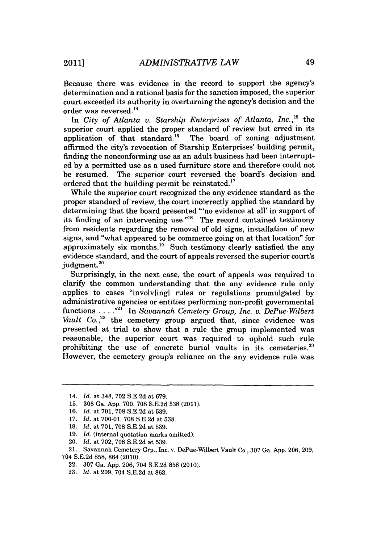Because there was evidence in the record to support the agency's determination and a rational basis for the sanction imposed, the superior court exceeded its authority in overturning the agency's decision and the order was reversed. **<sup>14</sup>**

In *City of Atlanta v. Starship Enterprises of Atlanta, Inc.,'"* the superior court applied the proper standard of review but erred in its application of that standard.<sup>16</sup> The board of zoning adjustment affirmed the city's revocation of Starship Enterprises' building permit, finding the nonconforming use as an adult business had been interrupted **by** a permitted use as a used furniture store and therefore could not be resumed. The superior court reversed the board's decision and ordered that the building permit be reinstated. **<sup>17</sup>**

While the superior court recognized the any evidence standard as the proper standard of review, the court incorrectly applied the standard **by** determining that the board presented "'no evidence at all' in support of its finding of an intervening use."<sup>18</sup> The record contained testimony from residents regarding the removal of old signs, installation of new signs, and "what appeared to be commerce going on at that location" for approximately six months." Such testimony clearly satisfied the any evidence standard, and the court of appeals reversed the superior court's judgment.<sup>20</sup>

Surprisingly, in the next case, the court of appeals was required to clarify the common understanding that the any evidence rule only applies to cases "involv[ing] rules or regulations promulgated **by** administrative agencies or entities performing non-profit governmental functions **. . . ."** In *Savannah Cemetery Group, Inc. v. DePue-Wilbert Vault*  $Co.$ <sup>22</sup> the cemetery group argued that, since evidence was presented at trial to show that a rule the group implemented was reasonable, the superior court was required to uphold such rule prohibiting the use of concrete burial vaults in its cemeteries. $23$ However, the cemetery group's reliance on the any evidence rule was

<sup>14.</sup> *Id.* at 348, **702 S.E.2d** at **679.**

**<sup>15. 308</sup>** Ga. **App. 700, 708 S.E.2d 538** (2011).

**<sup>16.</sup>** *Id.* at **701, 708 S.E.2d** at **539.**

**<sup>17.</sup>** *Id.* at **700-01, 708 S.E.2d** at **538.**

**<sup>18.</sup>** *Id.* at **701, 708 S.E.2d** at **539.**

**<sup>19.</sup>** *Id.* (internal quotation marks omitted).

<sup>20.</sup> *Id.* at **702, 708 S.E.2d** at **539.**

<sup>21.</sup> Savannah Cemetery Grp., Inc. v. DePue-Wilbert Vault Co., **307** Ga. **App. 206, 209,**

<sup>704</sup> **S.E.2d 858,** 864 (2010).

<sup>22.</sup> **307** Ga. **App. 206,** 704 **S.E.2d 858** (2010).

**<sup>23.</sup>** *Id.* at **209,** 704 **S.E.2d** at **863.**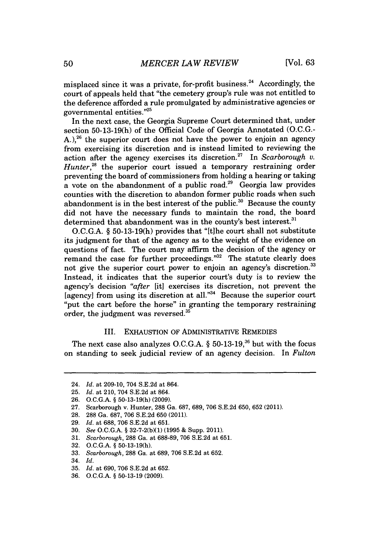misplaced since it was a private, for-profit business.<sup>24</sup> Accordingly, the court of appeals held that "the cemetery group's rule was not entitled to the deference afforded a rule promulgated **by** administrative agencies or governmental entities."25

In the next case, the Georgia Supreme Court determined that, under section **50-13-19(h)** of the Official Code of Georgia Annotated **(O.C.G.- A. ),26** the superior court does not have the power to enjoin an agency from exercising its discretion and is instead limited to reviewing the action after the agency exercises its discretion.<sup>27</sup> In Scarborough v. *Hunter*,<sup>28</sup> the superior court issued a temporary restraining order preventing the board of commissioners from holding a hearing or taking a vote on the abandonment of a public road.<sup>29</sup> Georgia law provides counties with the discretion to abandon former public roads when such abandonment is in the best interest of the public.<sup>30</sup> Because the county did not have the necessary funds to maintain the road, the board determined that abandonment was in the county's best interest.<sup>31</sup>

**O.C.G.A.** *§* **50-13-19(h)** provides that "Itihe court shall not substitute its judgment for that of the agency as to the weight of the evidence on questions of fact. The court may affirm the decision of the agency or remand the case for further proceedings."<sup>32</sup> The statute clearly does not give the superior court power to enjoin an agency's discretion.<sup>33</sup> Instead, it indicates that the superior court's duty is to review the agency's decision "after [it] exercises its discretion, not prevent the [agency] from using its discretion at all."34 Because the superior court "put the cart before the horse" in granting the temporary restraining order, the judgment was reversed.

### III. EXHAUSTION OF ADMINISTRATIVE REMEDIES

The next case also analyzes **O.C.G.A.** *§* **50-13-19,36** but with the focus on standing to seek judicial review of an agency decision. In *Fulton*

- **29.** *Id.* at **688, 706 S.E.2d** at **651.**
- **30.** *See* **O.C.G.A.** *§* **32-7-2(b)(1) (1995 &** Supp. 2011).
- **31.** *Scarborough,* **288** Ga. at **688-89, 706 S.E.2d** at **651.**
- **32. O.C.G.A.** *§* **50-13-19(h).**
- **33.** *Scarborough,* **288** Ga. at **689, 706 S.E.2d** at **652.**
- 34. *Id.*
- **35.** *Id.* at **690, 706 S.E.2d** at **652.**
- **36. O.C.G.A.** *§* **50-13-19 (2009).**

<sup>24.</sup> *Id.* at **209-10,** 704 **S.E.2d** at 864.

**<sup>25.</sup>** *Id.* at 210, 704 **S.E.2d** at 864.

**<sup>26.</sup> O.C.G.A.** *§* **50-13-19(h) (2009).**

**<sup>27.</sup>** Scarborough v. Hunter, **288** Ga. **687, 689, 706 S.E.2d 650, 652** (2011).

**<sup>28. 288</sup>** Ga. **687, 706 S.E.2d 650** (2011).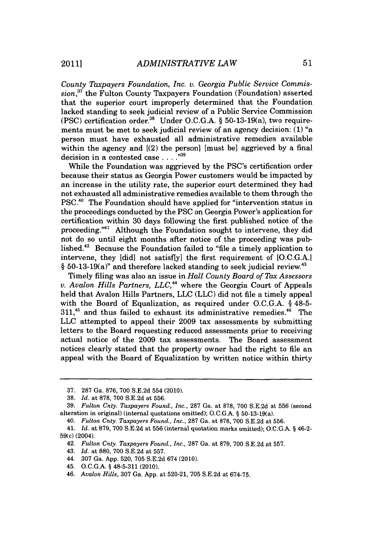*County Taxpayers Foundation, Inc. v. Georgia Public Service Commission,"* the Fulton County Taxpayers Foundation (Foundation) asserted that the superior court improperly determined that the Foundation lacked standing to seek judicial review of a Public Service Commission **(PSC)** certification order." Under **O.C.G.A. §** 50-13-19(a), two requirements must be met to seek judicial review of an agency decision: **(1)** "a person must have exhausted all administrative remedies available within the agency and [(2) the person] [must be] aggrieved **by** a final decision in a contested case **. . . .""**

While the Foundation was aggrieved **by** the PSC's certification order because their status as Georgia Power customers would be impacted **by** an increase in the utility rate, the superior court determined they had not exhausted all administrative remedies available to them through the **PSC.40** The Foundation should have applied for "intervention status in the proceedings conducted **by** the **PSC** on Georgia Power's application for certification within **30** days following the first published notice of the proceeding."<sup>41</sup> Although the Foundation sought to intervene, they did not do so until eight months after notice of the proceeding was published.<sup>42</sup> Because the Foundation failed to "file a timely application to intervene, they [did] not satisflyl the first requirement of **[O.C.G.A.]**  $§ 50-13-19(a)$ " and therefore lacked standing to seek judicial review.<sup>43</sup>

Timely filing was also an issue in *Hall County Board of Tax Assessors v. Avalon Hills Partners, LLC*,<sup>44</sup> where the Georgia Court of Appeals held that Avalon Hills Partners, **LLC (LLC)** did not file a timely appeal with the Board of Equalization, as required under **O.C.G.A. §** 48-5- **311,45** and thus failed to exhaust its administrative remedies." The **LLC** attempted to appeal their **2009** tax assessments **by** submitting letters to the Board requesting reduced assessments prior to receiving actual notice of the **2009** tax assessments. The Board assessment notices clearly stated that the property owner had the right to file an appeal with the Board of Equalization **by** written notice within thirty

**<sup>37. 287</sup>** Ga. **876, 700 S.E.2d** 554 (2010).

**<sup>38.</sup>** *Id. at* **878, 700 S.E.2d** at **556.**

**<sup>39.</sup>** *Fulton Cnty. Taxpayers Found., Inc.,* **287** Ga. at **878, 700 S.E.2d** at **556** (second alteration in original) (internal quotations omitted); **O.C.G.A.** *§* 50-13-19(a).

<sup>40.</sup> *Fulton Cnty. Taxpayers Found., Inc.,* **287** Ga. at **878, 700 S.E.2d** at **556.**

<sup>41.</sup> *Id.* at 879, 700 **S.E.2d** at 556 (internal quotation marks omitted); **O.C.G.A.** *§* 46-2- 59(c) (2004).

<sup>42.</sup> *Fulton Cnty. Taxpayers Found., Inc.,* **287** Ga. at **879, 700 S.E.2d** at **557.**

<sup>43.</sup> *Id.* at **880, 700 S.E.2d** at **557.**

<sup>44.</sup> **307** Ga. **App. 520, 705 S.E.2d** 674 (2010).

<sup>45.</sup> **O.C.G.A.** *§* **48-5-311** (2010).

<sup>46.</sup> *Avalon Hills,* **307** Ga. **App.** at **520-21, 705 S.E.2d** at **674-75.**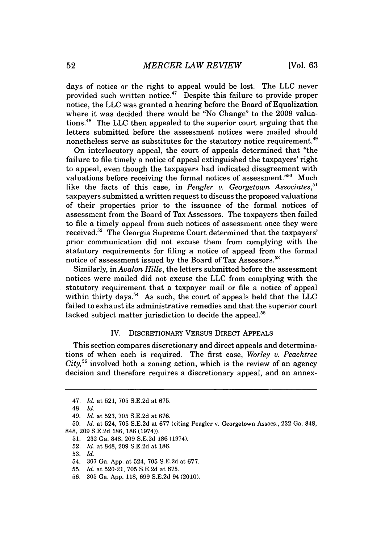days of notice or the right to appeal would be lost. The **LLC** never provided such written notice.<sup>47</sup> Despite this failure to provide proper notice, the **LLC** was granted a hearing before the Board of Equalization where it was decided there would be "No Change" to the **2009** valuations.48 The **LLC** then appealed to the superior court arguing that the letters submitted before the assessment notices were mailed should nonetheless serve as substitutes for the statutory notice requirement.<sup>49</sup>

On interlocutory appeal, the court of appeals determined that "the failure to file timely a notice of appeal extinguished the taxpayers' right to appeal, even though the taxpayers had indicated disagreement with valuations before receiving the formal notices of assessment."<sup>50</sup> Much like the facts of this case, in *Peagler v. Georgetown Associates*<sup>51</sup> taxpayers submitted a written request to discuss the proposed valuations of their properties prior to the issuance of the formal notices of assessment from the Board of Tax Assessors. The taxpayers then failed to file a timely appeal from such notices of assessment once they were received.52 The Georgia Supreme Court determined that the taxpayers' prior communication did not excuse them from complying with the statutory requirements for filing a notice of appeal from the formal notice of assessment issued **by** the Board of Tax Assessors.

Similarly, in *Avalon Hills,* the letters submitted before the assessment notices were mailed did not excuse the **LLC** from complying with the statutory requirement that a taxpayer mail or file a notice of appeal within thirty days.<sup>54</sup> As such, the court of appeals held that the LLC failed to exhaust its administrative remedies and that the superior court lacked subject matter jurisdiction to decide the appeal.<sup>55</sup>

## IV. DISCRETIONARY VERSUS DIRECT **APPEALS**

This section compares discretionary and direct appeals and determinations of when each is required. The first case, *Worley v. Peachtree City,"* involved both a zoning action, which is the review of an agency decision and therefore requires a discretionary appeal, and an annex-

*<sup>47.</sup> Id.* at **521, 705 S.E.2d** at **675.**

**<sup>48.</sup>** *Id.*

*<sup>49.</sup> Id.* at **523, 705 S.E.2d** at **676.**

**<sup>50.</sup>** *Id.* at 524, **705 S.E.2d** at **677** (citing Peagler v. Georgetown Assocs., **232** Ga. **848, 848, 209 S.E.2d 186, 186** (1974)).

**<sup>51. 232</sup>** Ga. **848, 209 S.E.2d 186** (1974).

**<sup>52.</sup>** *Id.* at **848, 209 S.E.2d** at **186.**

**<sup>53.</sup>** *Id.*

<sup>54.</sup> **307** Ga. **App.** at 524, **705 S.E.2d** at **677.**

**<sup>55.</sup>** *Id.* at **520-21, 705 S.E.2d** at **675.**

**<sup>56. 305</sup>** Ga. **App. 118, 699 S.E.2d** 94 (2010).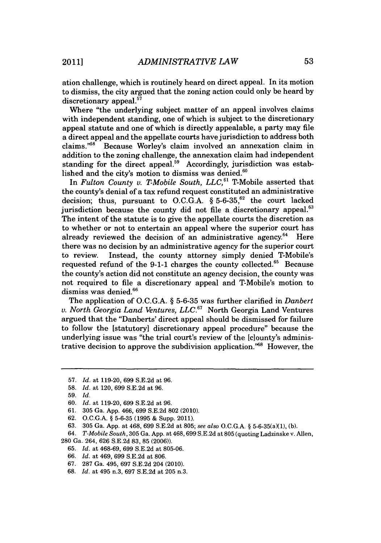ation challenge, which is routinely heard on direct appeal. In its motion to dismiss, the city argued that the zoning action could only be heard **by** discretionary appeal.<sup>57</sup>

Where "the underlying subject matter of an appeal involves claims with independent standing, one of which is subject to the discretionary appeal statute and one of which is directly appealable, a party may file a direct appeal and the appellate courts have jurisdiction to address both claims."<sup>58</sup> Because Worley's claim involved an annexation claim in addition to the zoning challenge, the annexation claim had independent standing for the direct appeal.<sup>59</sup> Accordingly, jurisdiction was established and the city's motion to dismiss was denied. $60$ 

In *Fulton County v. T-Mobile South, LLC*,<sup>61</sup> T-Mobile asserted that the county's denial of a tax refund request constituted an administrative decision; thus, pursuant to O.C.G.A.  $\S$  5-6-35,<sup>62</sup> the court lacked jurisdiction because the county did not file a discretionary appeal. $63$ The intent of the statute is to give the appellate courts the discretion as to whether or not to entertain an appeal where the superior court has already reviewed the decision of an administrative agency.<sup>64</sup> Here there was no decision **by** an administrative agency for the superior court to review. Instead, the county attorney simply denied T-Mobile's requested refund of the 9-1-1 charges the county collected.<sup>65</sup> Because the county's action did not constitute an agency decision, the county was not required to file a discretionary appeal and T-Mobile's motion to dismiss was denied.<sup>66</sup>

The application of **O.C.G.A. § 5-6-35** was further clarified in *Danbert v. North Georgia Land Ventures, LLC."* North Georgia Land Ventures argued that the "Danberts' direct appeal should be dismissed for failure to follow the [statutory] discretionary appeal procedure" because the underlying issue was "the trial court's review of the [clounty's administrative decision to approve the subdivision application."<sup>68</sup> However, the

**62. O.C.G.A.** *§* **5-6-35 (1995 &** Supp. 2011).

- **65.** *Id.* at **468-69, 699 S.E.2d** at **805-06.**
- **66.** *Id.* at 469, **699 S.E.2d** at **806.**
- **67. 287** Ga. 495, **697 S.E.2d** 204 (2010).
- **68.** *Id.* at 495 n.3, **697 S.E.2d** at **205** n.3.

**<sup>57.</sup>** *Id.* at **119-20, 699 S.E.2d** at **96.**

**<sup>58.</sup>** *Id.* at 120, **699 S.E.2d** at **96.**

**<sup>59.</sup>** *Id.*

**<sup>60.</sup>** *Id.* at **119-20, 699 S.E.2d** at **96.**

**<sup>61. 305</sup>** Ga. **App.** 466, **699 S.E.2d 802** (2010).

**<sup>63.</sup>** 305 Ga. App. at 468, 699 S.E.2d at 805; see also O.C.G.A. § 5-6-35(a)(1), (b).

<sup>64.</sup> *T-Mobile South,* **305** Ga. **App.** at **468,699 S.E.2d** at **805** (quoting Ladzinske v. Allen, **280** Ga. 264, **626 S.E.2d 83, 85 (2006)).**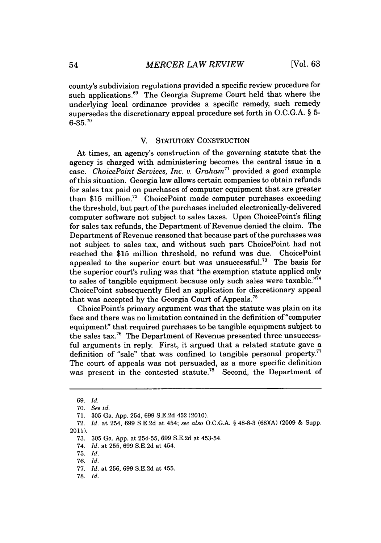county's subdivision regulations provided a specific review procedure for such applications.<sup>69</sup> The Georgia Supreme Court held that where the underlying local ordinance provides a specific remedy, such remedy supersedes the discretionary appeal procedure set forth in **O.C.G.A.** *§* **5- 6-35.'0**

## V. STATUTORY CONSTRUCTION

At times, an agency's construction of the governing statute that the agency is charged with administering becomes the central issue in a case. *ChoicePoint Services, Inc. v. Graham"* provided a good example of this situation. Georgia law allows certain companies to obtain refunds for sales tax paid on purchases of computer equipment that are greater than **\$15** million.72 ChoicePoint made computer purchases exceeding the threshold, but part of the purchases included electronically-delivered computer software not subject to sales taxes. Upon ChoicePoint's filing for sales tax refunds, the Department of Revenue denied the claim. The Department of Revenue reasoned that because part of the purchases was not subject to sales tax, and without such part ChoicePoint had not reached the **\$15** million threshold, no refund was due. ChoicePoint appealed to the superior court but was unsuccessful.<sup>73</sup> The basis for the superior court's ruling was that "the exemption statute applied only to sales of tangible equipment because only such sales were taxable."74 ChoicePoint subsequently filed an application for discretionary appeal that was accepted **by** the Georgia Court of Appeals.

ChoicePoint's primary argument was that the statute was plain on its face and there was no limitation contained in the definition of "computer equipment" that required purchases to be tangible equipment subject to the sales tax.<sup>76</sup> The Department of Revenue presented three unsuccessful arguments in reply. First, it argued that a related statute gave a definition of "sale" that was confined to tangible personal property.<sup>77</sup> The court of appeals was not persuaded, as a more specific definition was present in the contested statute.<sup>78</sup> Second, the Department of

**75.** *Id.*

**78.** *Id.*

*<sup>69.</sup> Id.*

**<sup>70.</sup>** *See id.*

**<sup>71. 305</sup>** Ga. **App.** 254, **699 S.E.2d** 452 (2010).

**<sup>72.</sup>** *Id.* at 254, **699 S.E.2d** at 454; *see also* **O.C.G.A. § 48-8-3 (68)(A) (2009 &** Supp. 2011).

**<sup>73. 305</sup>** Ga. **App.** at **254-55, 699 S.E.2d** at 453-54.

<sup>74.</sup> *Id.* at **255, 699 S.E.2d** at 454.

**<sup>76.</sup>** *Id.*

**<sup>77.</sup>** *Id.* at **256, 699 S.E.2d** at 455.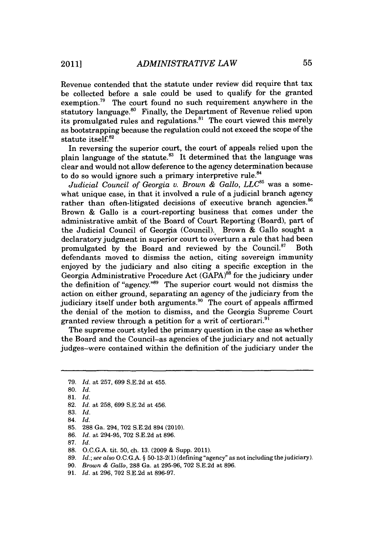Revenue contended that the statute under review did require that tax be collected before a sale could be used to qualify for the granted exemption.<sup>79</sup> The court found no such requirement anywhere in the statutory language.<sup>80</sup> Finally, the Department of Revenue relied upon its promulgated rules and regulations.<sup>81</sup> The court viewed this merely as bootstrapping because the regulation could not exceed the scope of the statute itself.<sup>82</sup>

In reversing the superior court, the court of appeals relied upon the plain language of the statute. $^{83}$  It determined that the language was clear and would not allow deference to the agency determination because to do so would ignore such a primary interpretive rule.<sup>84</sup>

*Judicial Council of Georgia v. Brown & Gallo, LLC<sup>85</sup> was a some*what unique case, in that it involved a rule of a judicial branch agency rather than often-litigated decisions of executive branch agencies.<sup>86</sup> Brown **&** Gallo is a court-reporting business that comes under the administrative ambit of the Board of Court Reporting (Board), part of the Judicial Council of Georgia (Council). Brown **&** Gallo sought a declaratory judgment in superior court to overturn a rule that had been promulgated by the Board and reviewed by the Council.<sup>87</sup> Both defendants moved to dismiss the action, citing sovereign immunity enjoyed **by** the judiciary and also citing a specific exception in the Georgia Administrative Procedure Act (GAPA)<sup>88</sup> for the judiciary under the definition of "agency."89 The superior court would not dismiss the action on either ground, separating an agency of the judiciary from the judiciary itself under both arguments.<sup>90</sup> The court of appeals affirmed the denial of the motion to dismiss, and the Georgia Supreme Court granted review through a petition for a writ of certiorari.<sup>91</sup>

The supreme court styled the primary question in the case as whether the Board and the Council-as agencies of the judiciary and not actually judges-were contained within the definition of the judiciary under the

**90.** *Brown & Gallo, 288* Ga. at **295-96, 702 S.E.2d** at **896.**

**<sup>79.</sup>** *Id. at* **257, 699 S.E.2d** at 455.

**<sup>80.</sup>** *Id.*

**<sup>81.</sup>** *Id.*

**<sup>82.</sup>** *Id. at* **258, 699 S.E.2d** at 456.

**<sup>83.</sup>** *Id.*

<sup>84.</sup> *Id.*

**<sup>85. 288</sup>** Ga. 294, **702 S.E.2d** 894 (2010).

**<sup>86.</sup>** *Id. at* 294-95, **702 S.E.2d** at **896.**

**<sup>87.</sup>** *Id.*

**<sup>88.</sup> O.C.G.A.** tit. **50,** ch. **13. (2009 &** Supp. 2011).

**<sup>89.</sup>** *Id.; see also* **O.C.G.A.** *§* **50-13-2(1)** (defining "agency" as not including the judiciary).

**<sup>91.</sup>** *Id.* at **296, 702 S.E.2d** at **896-97.**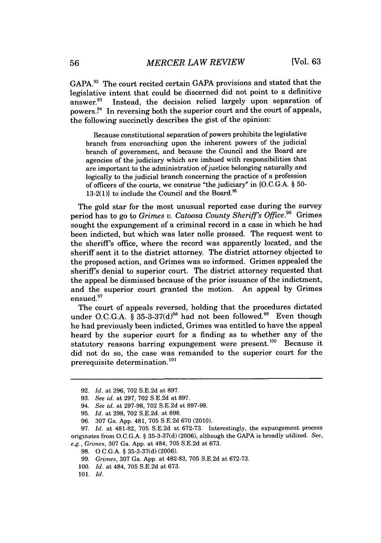**GAPA.9 <sup>2</sup>**The court recited certain **GAPA** provisions and stated that the legislative intent that could be discerned did not point to a definitive answer.<sup>93</sup> Instead, the decision relied largely upon separation of powers.?4 In reversing both the superior court and the court of appeals, the following succinctly describes the gist of the opinion:

Because constitutional separation of powers prohibits the legislative branch from encroaching upon the inherent powers of the judicial branch of government, and because the Council and the Board are agencies of the judiciary which are imbued with responsibilities that are important to the administration of justice belonging naturally and logically to the judicial branch concerning the practice of a profession of officers of the courts, we construe "the judiciary" in **[O.C.G.A. § 50-** 13-2(1)] to include the Council and the Board.<sup>95</sup>

The gold star for the most unusual reported case during the survey period has to go to *Grimes v. Catoosa County Sheriff's Office.*<sup>96</sup> Grimes sought the expungement of a criminal record in a case in which he had been indicted, but which was later nolle prossed. The request went to the sheriff's office, where the record was apparently located, and the sheriff sent it to the district attorney. The district attorney objected to the proposed action, and Grimes was so informed. Grimes appealed the sheriff's denial to superior court. The district attorney requested that the appeal be dismissed because of the prior issuance of the indictment, and the superior court granted the motion. An appeal **by** Grimes ensued.<sup>97</sup>

The court of appeals reversed, holding that the procedures dictated under O.C.G.A. § 35-3-37(d)<sup>98</sup> had not been followed.<sup>99</sup> Even though he had previously been indicted, Grimes was entitled to have the appeal heard **by** the superior court for a finding as to whether any of the statutory reasons barring expungement were present.<sup>100</sup> Because it did not do so, the case was remanded to the superior court for the prerequisite determination. **<sup>0</sup> '**

**<sup>92.</sup>** *Id.* at **296, 702 S.E.2d** at **897.**

**<sup>93.</sup>** *See id. at* **297, 702 S.E.2d** at **897.**

*<sup>94.</sup> See id. at* **297-98, 702 S.E.2d** at **897-98.**

**<sup>95.</sup>** *Id. at* **298, 702 S.E.2d.** at **898.**

**<sup>96. 307</sup>** Ga. **App.** 481, **705 S.E.2d 670** (2010).

*<sup>97.</sup> Id. at* **481-82, 705 S.E.2d** *at* **672-73.** Interestingly, the expungement process originates from **O.C.G.A. § 35-3-37(d) (2006),** although the **GAPA** is broadly utilized. *See, e.g., Grimes,* **307** Ga. **App.** at 484, **705 S.E.2d** at **673.**

**<sup>98.</sup> O.C.G.A. § 35-3-37(d) (2006).**

*<sup>99.</sup> Grimes,* **307** Ga. **App.** at **482-83, 705 S.E.2d** at **672-73.**

**<sup>100.</sup>** *Id.* at 484, **705 S.E.2d** at **673.**

**<sup>101.</sup>** *Id.*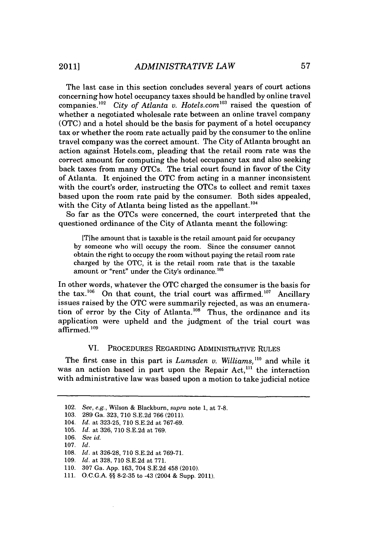The last case in this section concludes several years of court actions concerning how hotel occupancy taxes should be handled **by** online travel companies.<sup>102</sup> *City of Atlanta v. Hotels.com*<sup>103</sup> raised the question of whether a negotiated wholesale rate between an online travel company **(OTC)** and a hotel should be the basis for payment of a hotel occupancy tax or whether the room rate actually paid **by** the consumer to the online travel company was the correct amount. The City of Atlanta brought an action against Hotels.com, pleading that the retail room rate was the correct amount for computing the hotel occupancy tax and also seeking back taxes from many OTCs. The trial court found in favor of the City of Atlanta. It enjoined the **OTC** from acting in a manner inconsistent with the court's order, instructing the OTCs to collect and remit taxes based upon the room rate paid **by** the consumer. Both sides appealed, with the City of Atlanta being listed as the appellant.<sup>104</sup>

So far as the OTCs were concerned, the court interpreted that the questioned ordinance of the City of Atlanta meant the following:

[Tihe amount that is taxable is the retail amount paid for occupancy **by** someone who will occupy the room. Since the consumer cannot obtain the right to occupy the room without paying the retail room rate charged **by** the **OTC,** it is the retail room rate that is the taxable amount or "rent" under the City's ordinance.<sup>105</sup>

In other words, whatever the **OTC** charged the consumer is the basis for the  $\text{tax.}^{106}$  On that count, the trial court was affirmed.<sup>107</sup> Ancillary issues raised **by** the **OTC** were summarily rejected, as was an enumeration of error by the City of Atlanta.<sup>108</sup> Thus, the ordinance and its application were upheld and the judgment of the trial court was affirmed.<sup>109</sup>

# VI. PROCEDURES REGARDING ADMINISTRATIVE **RULES**

The first case in this part is *Lumsden v. Williams*,<sup>110</sup> and while it was an action based in part upon the Repair Act,<sup>111</sup> the interaction with administrative law was based upon a motion to take judicial notice

<sup>102.</sup> *See, e.g.,* Wilson **&** Blackburn, *supra* note **1,** at **7-8.**

**<sup>103. 289</sup>** Ga. **323, 710 S.E.2d 766** (2011).

<sup>104.</sup> *Id.* at **323-25, 710 S.E.2d** at **767-69.**

**<sup>105.</sup>** *Id.* at **326, 710 S.E.2d** at **769.**

**<sup>106.</sup>** *See id.*

**<sup>107.</sup>** *Id.*

**<sup>108.</sup>** *Id.* at **326-28, 710 S.E.2d** at **769-71.**

**<sup>109.</sup>** *Id.* at **328, 710 S.E.2d** at **771.**

**<sup>110. 307</sup>** Ga. **App. 163,** 704 **S.E.2d** 458 (2010).

**<sup>111.</sup> O.C.G.A. §§ 8-2-35** to -43 (2004 **&** Supp. 2011).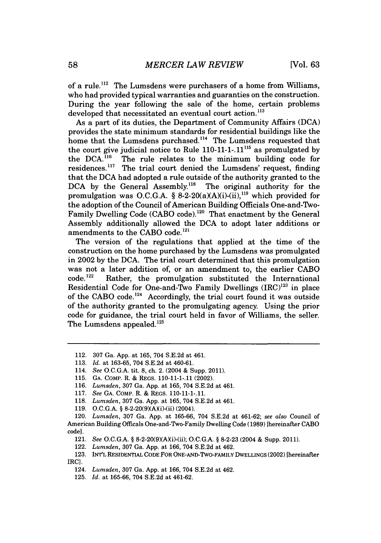of a rule.<sup> $112$ </sup> The Lumsdens were purchasers of a home from Williams, who had provided typical warranties and guaranties on the construction. During the year following the sale of the home, certain problems developed that necessitated an eventual court action.<sup>113</sup>

As a part of its duties, the Department of Community Affairs **(DCA)** provides the state minimum standards for residential buildings like the home that the Lumsdens purchased.<sup>114</sup> The Lumsdens requested that the court give judicial notice to Rule **110-11-1-.11115** as promulgated **by** the DCA.<sup>116</sup> The rule relates to the minimum building code for residences.<sup>117</sup> The trial court denied the Lumsdens' request, finding that the **DCA** had adopted a rule outside of the authority granted to the DCA by the General Assembly.<sup>118</sup> The original authority for the promulgation was O.C.G.A.  $\S$  8-2-20(a)(A)(i)-(ii),<sup>119</sup> which provided for the adoption of the Council of American Building Officials One-and-Two-Family Dwelling Code **(CABO** code).120 That enactment **by** the General Assembly additionally allowed the **DCA** to adopt later additions or amendments to the **CABO** code.121

The version of the regulations that applied at the time of the construction on the home purchased **by** the Lumsdens was promulgated in 2002 **by** the **DCA.** The trial court determined that this promulgation was not a later addition of, or an amendment to, the earlier CABO code.<sup>122</sup> Rather, the promulgation substituted the International Rather, the promulgation substituted the International Residential Code for One-and-Two Family Dwellings  $(IRC)^{123}$  in place of the **CABO** code. 124 Accordingly, the trial court found it was outside of the authority granted to the promulgating agency. Using the prior code for guidance, the trial court held in favor of Williams, the seller. The Lumsdens appealed.<sup>125</sup>

- **115. GA.** COMP. R. **&** REGS. **110-11-1-.11** (2002).
- **116.** *Lumsden,* **307** Ga. **App.** at **165,** 704 **S.E.2d** at 461.
- **117.** *See* **GA.** COMP. R. **&** REGS. **110-11-1-.11.**
- **118.** *Lumsden,* **307** Ga. **App.** at **165,** 704 **S.E.2d** at 461.
- 119. O.C.G.A. § 8-2-20(9)(A)(i)-(ii) (2004).

- 121. *See* **O.C.G.A. §** 8-2-20(9)(AXi)-(ii); **O.C.G.A. § 8-2-23** (2004 **&** Supp. 2011).
- 122. *Lumsden,* **307** Ga. **App.** at **166,** 704 **S.E.2d** at 462.
- **123.** INT'L RESIDENTIAL **CODE** FOR ONE-AND-TWO-FAMILY DWELLINGS (2002) [hereinafter IRC].
	- 124. *Lumsden,* **307** Ga. **App.** at **166,** 704 **S.E.2d** at 462.
	- **125.** *Id.* at **165-66,** 704 **S.E.2d** at 461-62.

<sup>112.</sup> **307** Ga. **App.** at **165,** 704 **S.E.2d** at 461.

**<sup>113.</sup>** *Id. at* **163-65,** 704 **S.E.2d** at 460-61.

<sup>114.</sup> *See* **O.C.G.A.** tit. **8,** ch. 2. (2004 **&** Supp. **2011).**

<sup>120.</sup> *Lumsden,* **307** Ga. **App.** at **165-66,** 704 **S.E.2d** at 461-62; *see also* Council of American Building Officals One-and-Two-Family Dwelling Code **(1989)** [hereinafter **CABO** code].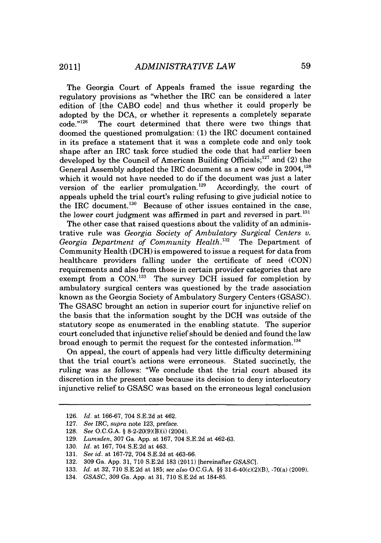The Georgia Court of Appeals framed the issue regarding the regulatory provisions as "whether the IRC can be considered a later edition of [the **CABO** code] and thus whether it could properly be adopted by the DCA, or whether it represents a completely separate code.<sup>"126</sup> The court determined that there were two things that The court determined that there were two things that doomed the questioned promulgation: **(1)** the IRC document contained in its preface a statement that it was a complete code and only took shape after an IRC task force studied the code that had earlier been developed by the Council of American Building Officials;<sup>127</sup> and (2) the General Assembly adopted the IRC document as a new code in 2004,<sup>128</sup> which it would not have needed to do if the document was just a later version of the earlier promulgation.<sup>129</sup> Accordingly, the court of version of the earlier promulgation.<sup>129</sup> appeals upheld the trial court's ruling refusing to give judicial notice to the IRC document.<sup>130</sup> Because of other issues contained in the case, the lower court judgment was affirmed in part and reversed in part.<sup>131</sup>

The other case that raised questions about the validity of an administrative rule was *Georgia Society of Ambulatory Surgical Centers v. Georgia Department of Community Health.132* The Department of Community Health **(DCH)** is empowered to issue a request for data from healthcare providers falling under the certificate of need **(CON)** requirements and also from those in certain provider categories that are exempt from a **CON.'3 <sup>3</sup>**The survey **DCH** issued for completion **by** ambulatory surgical centers was questioned **by** the trade association known as the Georgia Society of Ambulatory Surgery Centers **(GSASC).** The **GSASC** brought an action in superior court for injunctive relief on the basis that the information sought **by** the **DCH** was outside of the statutory scope as enumerated in the enabling statute. The superior court concluded that injunctive relief should be denied and found the law broad enough to permit the request for the contested information. <sup>134</sup>

On appeal, the court of appeals had very little difficulty determining that the trial court's actions were erroneous. Stated succinctly, the ruling was as follows: "We conclude that the trial court abused its discretion in the present case because its decision to deny interlocutory injunctive relief to **GSASC** was based on the erroneous legal conclusion

**<sup>126.</sup>** *Id. at* **166-67,** 704 **S.E.2d** at 462.

**<sup>127.</sup>** *See IRC, supra* note **123,** preface.

**<sup>128.</sup>** *See* **O.C.G.A. §** 8-2-20(9)(B)(i) (2004).

**<sup>129.</sup>** *Lumsden,* **307** Ga. **App.** at **167,** 704 **S.E.2d** at **462-63.**

**<sup>130.</sup>** *Id.* at **167,** 704 **S.E.2d** at 463.

**<sup>131.</sup>** *See id.* at **167-72,** 704 **S.E.2d** at **463-66.**

**<sup>132. 309</sup>** Ga. **App. 31, 710 S.E.2d 183** (2011) [hereinafter *GSASC].*

**<sup>133.</sup>** *Id.* at **32, 710 S.E.2d** at **185;** *see also* **O.C.G.A. §§** 31-6-40(c)(2)(B), -70(a) **(2009).**

<sup>134.</sup> *GSASC,* **309** Ga. **App.** at **31, 710 S.E.2d** at **184-85.**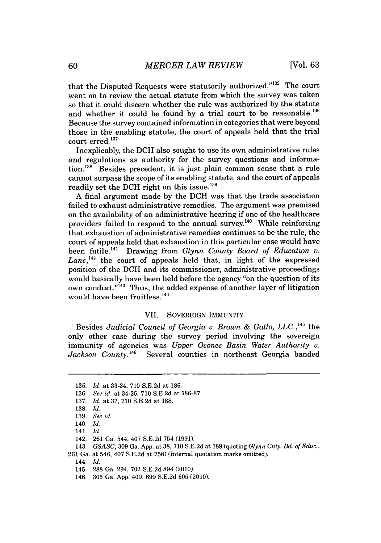that the Disputed Requests were statutorily authorized."<sup>135</sup> The court went on to review the actual statute from which the survey was taken so that it could discern whether the rule was authorized **by** the statute and whether it could be found **by** a trial court to **be** reasonable.' Because the survey contained information in categories that were beyond those in the enabling statute, the court of appeals held that the trial court erred.<sup>137</sup>

Inexplicably, the **DCH** also sought to use its own administrative rules and regulations as authority for the survey questions and information.<sup>138</sup> Besides precedent, it is just plain common sense that a rule cannot surpass the scope of its enabling statute, and the court of appeals readily set the DCH right on this issue.<sup>139</sup>

**A** final argument made **by** the **DCH** was that the trade association failed to exhaust administrative remedies. The argument was premised on the availability of an administrative hearing if one of the healthcare providers failed to respond to the annual survey.<sup>140</sup> While reinforcing that exhaustion of administrative remedies continues to be the rule, the court of appeals held that exhaustion in this particular case would have been futile.<sup>141</sup> Drawing from *Glynn County Board of Education v.*  $Lane$ ,<sup>142</sup> the court of appeals held that, in light of the expressed position of the **DCH** and its commissioner, administrative proceedings would basically have been held before the agency "on the question of its own conduct.<sup>"143</sup> Thus, the added expense of another layer of litigation would have been fruitless.<sup>144</sup>

### VII. **SOVEREIGN** IMMUNITY

Besides *Judicial Council of Georgia v. Brown & Gallo, LLC.,<sup>4</sup> s* the only other case during the survey period involving the sovereign immunity of agencies was *Upper Oconee Basin Water Authority v.* Jackson County.<sup>146</sup> Several counties in northeast Georgia banded

146. **305** Ga. **App.** 409, **699 S.E.2d 605** (2010).

**<sup>135.</sup>** *Id. at* 33-34, **710 S.E.2d** at **186.**

**<sup>136.</sup>** *See id. at* 34-35, **710 S.E.2d** at **186-87.**

**<sup>137.</sup>** *Id. at* **37, 710 S.E.2d** at **188.**

**<sup>138.</sup>** *Id.*

**<sup>139.</sup>** *See id.*

<sup>140.</sup> *Id.*

<sup>141.</sup> *Id.*

<sup>142.</sup> **261** Ga. 544, 407 **S.E.2d** 754 **(1991).**

<sup>143.</sup> *GSASC,* **309** Ga. **App.** at **38, 710 S.E.2d** at **189** (quoting *Glynn Cnty. Bd. of Educ.,* **261** Ga. at 546, 407 **S.E.2d** at **756)** (internal quotation marks omitted).

<sup>144.</sup> *Id.*

<sup>145.</sup> **288** Ga. 294, **702 S.E.2d** 894 (2010).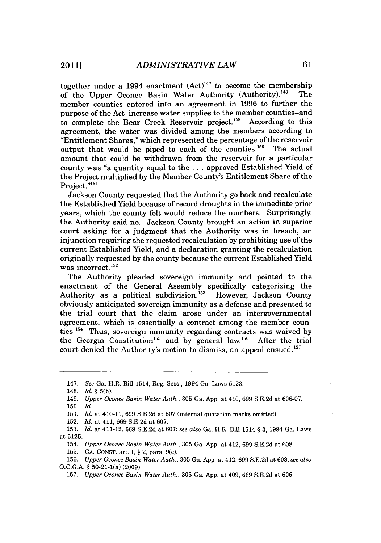together under a 1994 enactment  $(Act)^{147}$  to become the membership of the Upper Oconee Basin Water Authority (Authority).<sup>148</sup> The member counties entered into an agreement in **1996** to further the purpose of the Act-increase water supplies to the member counties-and to complete the Bear Creek Reservoir project.<sup>149</sup> According to this agreement, the water was divided among the members according to "Entitlement Shares," which represented the percentage of the reservoir output that would be piped to each of the counties.<sup>150</sup> The actual amount that could be withdrawn from the reservoir for a particular county was "a quantity equal to the **.** . **.** approved Established Yield of the Project multiplied **by** the Member County's Entitlement Share of the Project."<sup>151</sup>

Jackson County requested that the Authority go back and recalculate the Established Yield because of record droughts in the immediate prior years, which the county felt would reduce the numbers. Surprisingly, the Authority said no. Jackson County brought an action in superior court asking for a judgment that the Authority was in breach, an injunction requiring the requested recalculation **by** prohibiting use of the current Established Yield, and a declaration granting the recalculation originally requested **by** the county because the current Established Yield was incorrect.<sup>152</sup>

The Authority pleaded sovereign immunity and pointed to the enactment of the General Assembly specifically categorizing the Authority as a political subdivision.<sup>153</sup> However, Jackson County obviously anticipated sovereign immunity as a defense and presented to the trial court that the claim arose under an intergovernmental agreement, which is essentially a contract among the member counties.'5 4 Thus, sovereign immunity regarding contracts was waived **by** the Georgia Constitution<sup>155</sup> and by general law.<sup>156</sup> After the trial court denied the Authority's motion to dismiss, an appeal ensued.<sup>157</sup>

**152.** *Id. at* 411, **669 S.E.2d** at **607.**

- 154. *Upper Oconee Basin Water Auth.,* **305** Ga. **App.** at 412, **699 S.E.2d** at **608.**
- **155. GA. CONST.** *art.* **I, §** 2, para. 9(c).

<sup>147.</sup> *See Ga.* H.R. Bill 1514, Reg. Sess.. 1994 Ga. Laws **5123.**

<sup>148.</sup> *Id.* **§ 5(b).**

<sup>149.</sup> *Upper Oconee Basin Water Auth.,* **305** Ga. **App.** at 410, **699 S.E.2d** at **606-07.**

**<sup>150.</sup>** *Id.*

**<sup>151.</sup>** *Id. at* 410-11, **699 S.E.2d** at **607** (internal quotation marks omitted).

**<sup>153.</sup>** *Id.* at 411-12, **669 S.E.2d** at **607;** *see also* Ga. H.R. Bill 1514 **§ 3,** 1994 Ga. Laws at **5125.**

**<sup>156.</sup>** *Upper Oconee Basin Water Auth.,* **305** Ga. **App.** at 412, 699 **S.E.2d** at **608;** *see also* **O.C.G.A. §** 50-21-1(a) **(2009).**

**<sup>157.</sup>** *Upper Oconee Basin Water Auth.,* **305** Ga. **App.** at 409, **669 S.E.2d** at **606.**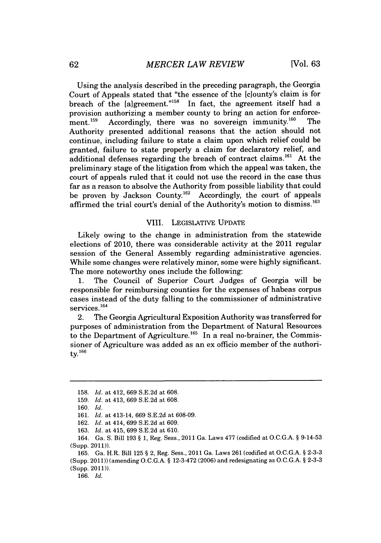Using the analysis described in the preceding paragraph, the Georgia Court of Appeals stated that "the essence of the [clounty's claim is for breach of the [algreement."<sup>158</sup> In fact, the agreement itself had a provision authorizing a member county to bring an action for enforcement.<sup>159</sup> Accordingly, there was no sovereign immunity.<sup>160</sup> The Authority presented additional reasons that the action should not continue, including failure to state a claim upon which relief could be granted, failure to state properly a claim for declaratory relief, and additional defenses regarding the breach of contract claims.<sup>161</sup> At the preliminary stage of the litigation from which the appeal was taken, the court of appeals ruled that it could not use the record in the case thus far as a reason to absolve the Authority from possible liability that could be proven **by** Jackson County.162 Accordingly, the court of appeals affirmed the trial court's denial of the Authority's motion to dismiss.<sup>163</sup>

#### VIII. **LEGISLATIVE UPDATE**

Likely owing to the change in administration from the statewide elections of 2010, there was considerable activity at the 2011 regular session of the General Assembly regarding administrative agencies. While some changes were relatively minor, some were **highly** significant. The more noteworthy ones include the following:

**1.** The Council of Superior Court Judges of Georgia will be responsible for reimbursing counties for the expenses of habeas corpus cases instead of the duty falling to the commissioner of administrative services.<sup>164</sup>

2. The Georgia Agricultural Exposition Authority was transferred for purposes of administration from the Department of Natural Resources to the Department of Agriculture.<sup>165</sup> In a real no-brainer, the Commissioner of Agriculture was added as an ex officio member of the authority. $166$ 

164. Ga. *S.* Bill **193 § 1,** Reg. Sess., 2011 Ga. Laws *477* (codified at **O.C.G.A. §** 9-14-53 (Supp. 2011)).

**165.** Ga. H.R. Bill **125 §** 2, Reg. Sess., 2011 Ga. Laws **261** (codified at **O.C.G.A. § 2-3-3** (Supp. 2011)) (amending **O.C.G.A. §** 12-3-472 **(2006)** and redesignating as **O.C.G.A. § 2-3-3** (Supp. 2011)).

**166.** *Id.*

**<sup>158.</sup>** *Id.* at 412, **669 S.E.2d** at **608.**

**<sup>159.</sup>** *Id.* at 413, **669 S.E.2d** at **608.**

**<sup>160.</sup>** *Id.*

**<sup>161.</sup>** *Id.* at 413-14, **669 S.E.2d** at **608-09.**

**<sup>162.</sup>** *Id.* at 414, **699 S.E.2d** at **609.**

**<sup>163.</sup>** *Id.* at 415, **699 S.E.2d** at **610.**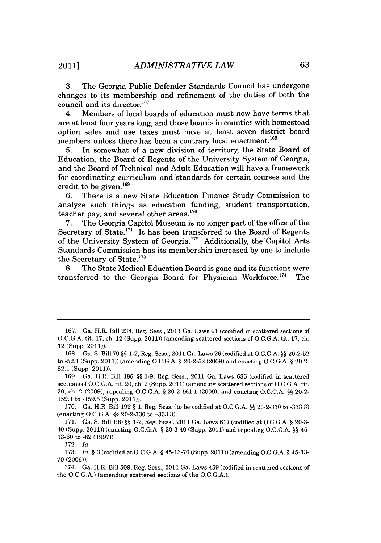**3.** The Georgia Public Defender Standards Council has undergone changes to its membership and refinement of the duties of both the council and its director.<sup>167</sup>

4. Members of local boards of education must now have terms that are at least four years long, and those boards in counties with homestead option sales and use taxes must have at least seven district board members unless there has been a contrary local enactment.<sup>168</sup>

**5.** In somewhat of a new division of territory, the State Board of Education, the Board of Regents of the University System of Georgia, and the Board of Technical and Adult Education will have a framework for coordinating curriculum and standards for certain courses and the credit to be given.<sup>169</sup>

**6.** There is a new State Education Finance Study Commission to analyze such things as education funding, student transportation, teacher pay, and several other areas. $170$ 

**7.** The Georgia Capitol Museum is no longer part of the office of the Secretary of State. $171$  It has been transferred to the Board of Regents of the University System of Georgia.172 Additionally, the Capitol Arts Standards Commission has its membership increased **by** one to include the Secretary of State.<sup>173</sup>

**8.** The State Medical Education Board is gone and its functions were transferred to the Georgia Board for Physician Workforce.<sup>174</sup> The

**172.** *Id.*

**<sup>167.</sup>** Ga. H.R. Bill **238,** Reg. Sess., 2011 Ga. Laws **91** (codified in scattered sections **of O.C.G.A.** tit. **17,** ch. 12 (Supp. 2011)) (amending scattered sections **of O.C.G.A.** tit. **17,** ch. 12 (Supp. 2011)).

**<sup>168.</sup>** Ga. **S.** Bill **79 §§** 1-2, Reg. Sess., 2011 Ga. Laws **26** (codified **atO.C.G.A. §§ 20-2-52** to **-52.1** (Supp. 2011)) (amending **O.C.G.A. § 20-2-52 (2009)** and enacting **O.C.G.A. §** 20-2- **52.1** (Supp. 2011)).

**<sup>169.</sup>** Ga. H.R. Bill **186 §§ 1-9,** Reg. Sess., 2011 Ga. Laws **635** (codified in scattered sections of **O.C.G.A.** tit. 20, ch. 2 (Supp. 2011) (amending scattered sections of **O.C.G.A.** tit. 20, ch. 2 **(2009),** repealing **O.C.G.A. § 20-2-161.1 (2009),** and enacting **O.C.G.A. §§** 20-2- **159.1** to **-159.5** (Supp. 2011)).

**<sup>170.</sup>** Ga. H.R. Bill **192 § 1,** Reg. Sess. (to be codified at **O.C.G.A. §§ 20-2-330** to **-333.3)** (enacting **O.C.G.A. H§ 20-2-330** to **-333.3).**

**<sup>171.</sup>** Ga. **S.** Bill **190 §§** 1-2, Reg. Sess., 2011 Ga. Laws **617** (codified at **O.C.G.A. § 20-3-** 40 (Supp. 2011)) (enacting **O.C.G.A. §** 20-3-40 (Supp. 2011) and repealing **O.C.G.A. §§** 45- **13-60** to **-62 (1997)).**

**<sup>173.</sup>** *Id. §* **3** (codified at **O.C.G.A. § 45-13-70** (Supp. 2011)) (amending **O.C.G.A. §** 45-13- **70 (2006)).**

<sup>174.</sup> Ga. H.R. Bill **509,** Reg. Sess., 2011 Ga. Laws 459 (codified in scattered sections of the **O.C.G.A.)** (amending scattered sections of the **O.C.G.A.).**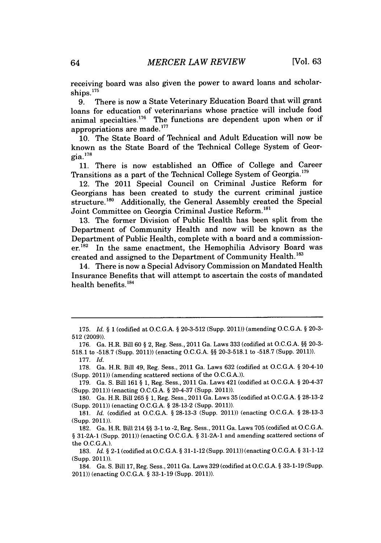receiving board was also given the power to award loans and scholarships.<sup>175</sup>

**9.** There is now a State Veterinary Education Board that will grant loans for education of veterinarians whose practice will include food animal specialties.<sup>176</sup> The functions are dependent upon when or if appropriations are made.'

**10.** The State Board of Technical and Adult Education will now be known as the State Board of the Technical College System of Geor- $\rm gia.$ <sup>178</sup>

**11.** There is now established an Office of College and Career Transitions as a part of the Technical College System of Georgia.<sup>179</sup>

12. The 2011 Special Council on Criminal Justice Reform for Georgians has been created to study the current criminal justice structure.<sup>180</sup> Additionally, the General Assembly created the Special Joint Committee on Georgia Criminal Justice Reform.'

**13.** The former Division of Public Health has been split from the Department of Community Health and now will be known as the Department of Public Health, complete with a board and a commission $er<sup>182</sup>$  In the same enactment, the Hemophilia Advisory Board was created and assigned to the Department of Community Health.<sup>183</sup>

14. There is now a Special Advisory Commission on Mandated Health Insurance Benefits that will attempt to ascertain the costs of mandated health benefits.<sup>184</sup>

**179.** Ga. **S.** Bill **161 § 1,** Reg. Sess., 2011 Ga. Laws 421 (codified at **O.C.G.A. §** 20-4-37 (Supp. 2011)) (enacting **O.C.G.A. §** 20-4-37 (Supp. 2011)).

**<sup>175.</sup>** *Id. §* **1** (codified at **O.C.G.A. § 20-3-512** (Supp. 2011)) (amending **O.C.G.A. § 20-3- 512 (2009)).**

**<sup>176.</sup>** Ga. H.R. Bill **60 §** 2, Reg. Sess., 2011 Ga. Laws **333** (codified at **O.C.G.A. §§ 20-3- 518.1** to **-518.7** (Supp. 2011)) (enacting **O.C.G.A. §§ 20-3-518.1** to **-518.7** (Supp. 2011)).

**<sup>177.</sup>** *Id.*

**<sup>178.</sup>** Ga. H.R. Bill 49, Reg. Sess., 2011 Ga. Laws **632** (codified at **O.C.G.A. §** 20-4-10 (Supp. 2011)) (amending scattered sections of the **O.C.G.A.)).**

**<sup>180.</sup>** Ga. H.R. Bill **265 § 1,** Reg. Sess., 2011 Ga. Laws **35** (codified at **O.C.G.A. § 28-13-2** (Supp. 2011)) (enacting **O.C.G.A. § 28-13-2** (Supp. 2011)).

**<sup>181.</sup>** *Id.* (codified at **O.C.G.A. § 28-13-3** (Supp. 2011)) (enacting **O.C.G.A. § 28-13-3** (Supp. 2011)).

**<sup>182.</sup>** Ga. H.R. Bill 214 **§§ 3-1** to -2, Reg. Sess., 2011 Ga. Laws **705** (codified at O.C.G.A. **§ 31-2A-1** (Supp. 2011)) (enacting **O.C.G.A. § 31-2A-1** and amending scattered sections of the **O.C.G.A.).**

**<sup>183.</sup>** *Id.* **§** 2-1 (codified at **O.C.G.A. § 31-1-12** (Supp. 2011)) (enacting **O.C.G.A. § 31-1-12** (Supp. 2011)).

<sup>184.</sup> Ga. **S.** Bill **17,** Reg. Sess., 2011 Ga. Laws **329** (codified at **O.C.G.A. §** 33-1-19 (Supp. 2011)) (enacting **O.C.G.A. § 33-1-19** (Supp. 2011)).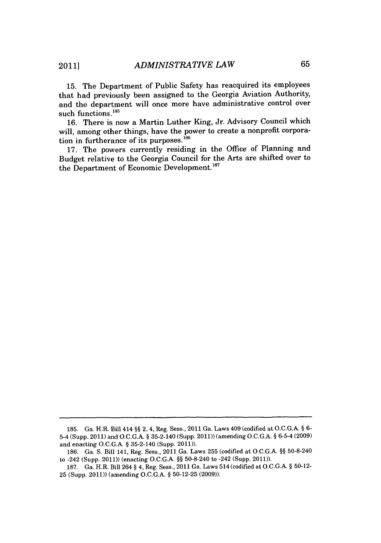**15.** The Department of Public Safety has reacquired its employees that had previously been assigned to the Georgia Aviation Authority, and the department will once more have administrative control over such functions.<sup>185</sup>

**16.** There is now a Martin Luther King, Jr. Advisory Council which will, among other things, have the power to create a nonprofit corporation in furtherance of its purposes.<sup>186</sup>

**17.** The powers currently residing in the Office of Planning and Budget relative to the Georgia Council for the Arts are shifted over to the Department of Economic Development.<sup>187</sup>

**<sup>185.</sup>** Ga. H.R. Bill 414 *§§* 2, 4, Reg. Sess., 2011 Ga. Laws 409 (codified at O.C.G.A. *§ 6-* 5-4 (Supp. 2011) and **O.C.G.A.** *§* 35-2-140 (Supp. 2011)) (amending **O.C.G.A.** *§* 6-5-4 **(2009)** and enacting **O.C.G.A.** *§* 35-2-140 (Supp. 2011)).

**<sup>186.</sup>** Ga. **S.** Bill 141, Reg. Sess., 2011 Ga. Laws **255** (codified at **O.C.G.A.** *§§* 50-8-240 to -242 (Supp. 2011)) (enacting **O.C.G.A.** *§§* 50-8-240 to -242 (Supp. 2011)).

**<sup>187.</sup>** Ga. H.R. Bill 264 *§* 4, Reg. Sess., 2011 Ga. Laws 514 (codified at **O.C.G.A.** *§* **50-12- 25** (Supp. 2011)) (amending **O.C.G.A.** *§* **50-12-25 (2009)).**